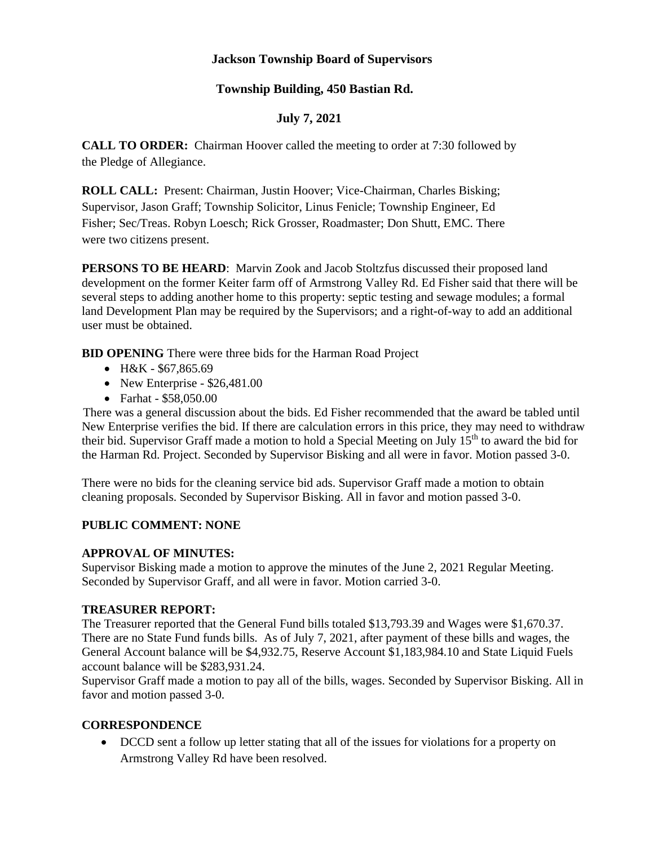## **Jackson Township Board of Supervisors**

### **Township Building, 450 Bastian Rd.**

### **July 7, 2021**

**CALL TO ORDER:** Chairman Hoover called the meeting to order at 7:30 followed by the Pledge of Allegiance.

**ROLL CALL:** Present: Chairman, Justin Hoover; Vice-Chairman, Charles Bisking; Supervisor, Jason Graff; Township Solicitor, Linus Fenicle; Township Engineer, Ed Fisher; Sec/Treas. Robyn Loesch; Rick Grosser, Roadmaster; Don Shutt, EMC. There were two citizens present.

**PERSONS TO BE HEARD**: Marvin Zook and Jacob Stoltzfus discussed their proposed land development on the former Keiter farm off of Armstrong Valley Rd. Ed Fisher said that there will be several steps to adding another home to this property: septic testing and sewage modules; a formal land Development Plan may be required by the Supervisors; and a right-of-way to add an additional user must be obtained.

**BID OPENING** There were three bids for the Harman Road Project

- H&K \$67,865.69
- New Enterprise  $$26,481.00$
- Farhat \$58,050.00

There was a general discussion about the bids. Ed Fisher recommended that the award be tabled until New Enterprise verifies the bid. If there are calculation errors in this price, they may need to withdraw their bid. Supervisor Graff made a motion to hold a Special Meeting on July 15<sup>th</sup> to award the bid for the Harman Rd. Project. Seconded by Supervisor Bisking and all were in favor. Motion passed 3-0.

There were no bids for the cleaning service bid ads. Supervisor Graff made a motion to obtain cleaning proposals. Seconded by Supervisor Bisking. All in favor and motion passed 3-0.

#### **PUBLIC COMMENT: NONE**

#### **APPROVAL OF MINUTES:**

Supervisor Bisking made a motion to approve the minutes of the June 2, 2021 Regular Meeting. Seconded by Supervisor Graff, and all were in favor. Motion carried 3-0.

#### **TREASURER REPORT:**

The Treasurer reported that the General Fund bills totaled \$13,793.39 and Wages were \$1,670.37. There are no State Fund funds bills. As of July 7, 2021, after payment of these bills and wages, the General Account balance will be \$4,932.75, Reserve Account \$1,183,984.10 and State Liquid Fuels account balance will be \$283,931.24.

Supervisor Graff made a motion to pay all of the bills, wages. Seconded by Supervisor Bisking. All in favor and motion passed 3-0.

#### **CORRESPONDENCE**

• DCCD sent a follow up letter stating that all of the issues for violations for a property on Armstrong Valley Rd have been resolved.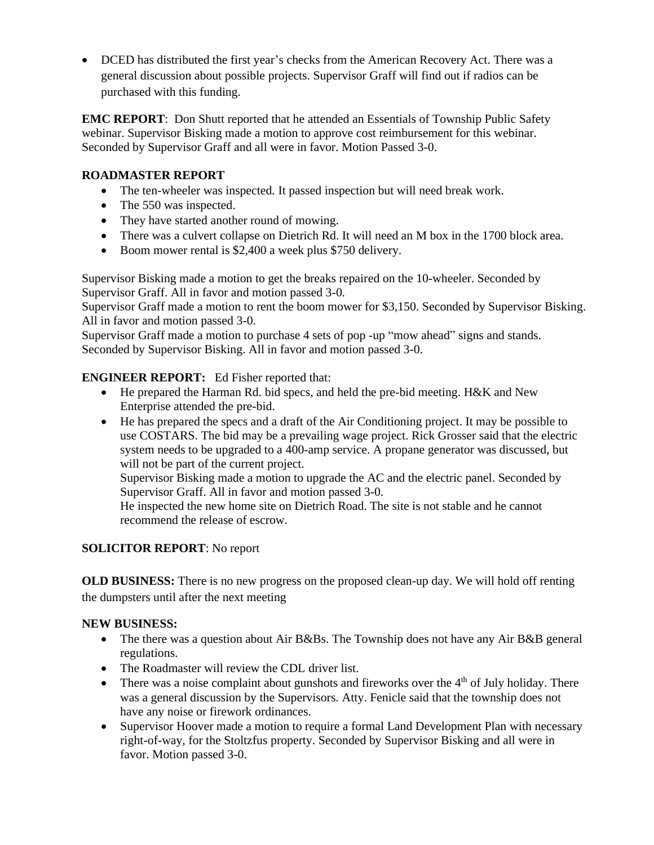• DCED has distributed the first year's checks from the American Recovery Act. There was a general discussion about possible projects. Supervisor Graff will find out if radios can be purchased with this funding.

**EMC REPORT**: Don Shutt reported that he attended an Essentials of Township Public Safety webinar. Supervisor Bisking made a motion to approve cost reimbursement for this webinar. Seconded by Supervisor Graff and all were in favor. Motion Passed 3-0.

# **ROADMASTER REPORT**

- The ten-wheeler was inspected. It passed inspection but will need break work.
- The 550 was inspected.
- They have started another round of mowing.
- There was a culvert collapse on Dietrich Rd. It will need an M box in the 1700 block area.
- Boom mower rental is \$2,400 a week plus \$750 delivery.

Supervisor Bisking made a motion to get the breaks repaired on the 10-wheeler. Seconded by Supervisor Graff. All in favor and motion passed 3-0.

Supervisor Graff made a motion to rent the boom mower for \$3,150. Seconded by Supervisor Bisking. All in favor and motion passed 3-0.

Supervisor Graff made a motion to purchase 4 sets of pop -up "mow ahead" signs and stands. Seconded by Supervisor Bisking. All in favor and motion passed 3-0.

## **ENGINEER REPORT:** Ed Fisher reported that:

- He prepared the Harman Rd. bid specs, and held the pre-bid meeting. H&K and New Enterprise attended the pre-bid.
- He has prepared the specs and a draft of the Air Conditioning project. It may be possible to use COSTARS. The bid may be a prevailing wage project. Rick Grosser said that the electric system needs to be upgraded to a 400-amp service. A propane generator was discussed, but will not be part of the current project.

Supervisor Bisking made a motion to upgrade the AC and the electric panel. Seconded by Supervisor Graff. All in favor and motion passed 3-0.

He inspected the new home site on Dietrich Road. The site is not stable and he cannot recommend the release of escrow.

## **SOLICITOR REPORT**: No report

**OLD BUSINESS:** There is no new progress on the proposed clean-up day. We will hold off renting the dumpsters until after the next meeting

## **NEW BUSINESS:**

- The there was a question about Air B&Bs. The Township does not have any Air B&B general regulations.
- The Roadmaster will review the CDL driver list.
- There was a noise complaint about gunshots and fireworks over the  $4<sup>th</sup>$  of July holiday. There was a general discussion by the Supervisors. Atty. Fenicle said that the township does not have any noise or firework ordinances.
- Supervisor Hoover made a motion to require a formal Land Development Plan with necessary right-of-way, for the Stoltzfus property. Seconded by Supervisor Bisking and all were in favor. Motion passed 3-0.